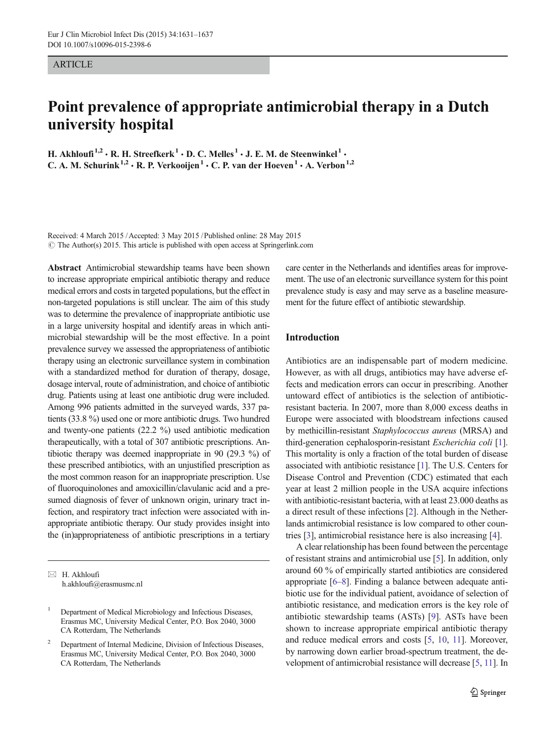#### ARTICLE

# Point prevalence of appropriate antimicrobial therapy in a Dutch university hospital

H. Akhloufi<sup>1,2</sup> · R. H. Streefkerk<sup>1</sup> · D. C. Melles<sup>1</sup> · J. E. M. de Steenwinkel<sup>1</sup> · C. A. M. Schurink<sup>1,2</sup>  $\cdot$  R. P. Verkooijen<sup>1</sup>  $\cdot$  C. P. van der Hoeven<sup>1</sup>  $\cdot$  A. Verbon<sup>1,2</sup>

Received: 4 March 2015 /Accepted: 3 May 2015 /Published online: 28 May 2015  $\odot$  The Author(s) 2015. This article is published with open access at Springerlink.com

Abstract Antimicrobial stewardship teams have been shown to increase appropriate empirical antibiotic therapy and reduce medical errors and costs in targeted populations, but the effect in non-targeted populations is still unclear. The aim of this study was to determine the prevalence of inappropriate antibiotic use in a large university hospital and identify areas in which antimicrobial stewardship will be the most effective. In a point prevalence survey we assessed the appropriateness of antibiotic therapy using an electronic surveillance system in combination with a standardized method for duration of therapy, dosage, dosage interval, route of administration, and choice of antibiotic drug. Patients using at least one antibiotic drug were included. Among 996 patients admitted in the surveyed wards, 337 patients (33.8 %) used one or more antibiotic drugs. Two hundred and twenty-one patients (22.2 %) used antibiotic medication therapeutically, with a total of 307 antibiotic prescriptions. Antibiotic therapy was deemed inappropriate in 90 (29.3 %) of these prescribed antibiotics, with an unjustified prescription as the most common reason for an inappropriate prescription. Use of fluoroquinolones and amoxicillin/clavulanic acid and a presumed diagnosis of fever of unknown origin, urinary tract infection, and respiratory tract infection were associated with inappropriate antibiotic therapy. Our study provides insight into the (in)appropriateness of antibiotic prescriptions in a tertiary

 $\boxtimes$  H. Akhloufi h.akhloufi@erasmusmc.nl care center in the Netherlands and identifies areas for improvement. The use of an electronic surveillance system for this point prevalence study is easy and may serve as a baseline measurement for the future effect of antibiotic stewardship.

# Introduction

Antibiotics are an indispensable part of modern medicine. However, as with all drugs, antibiotics may have adverse effects and medication errors can occur in prescribing. Another untoward effect of antibiotics is the selection of antibioticresistant bacteria. In 2007, more than 8,000 excess deaths in Europe were associated with bloodstream infections caused by methicillin-resistant Staphylococcus aureus (MRSA) and third-generation cephalosporin-resistant Escherichia coli [[1\]](#page-5-0). This mortality is only a fraction of the total burden of disease associated with antibiotic resistance [\[1](#page-5-0)]. The U.S. Centers for Disease Control and Prevention (CDC) estimated that each year at least 2 million people in the USA acquire infections with antibiotic-resistant bacteria, with at least 23.000 deaths as a direct result of these infections [\[2\]](#page-5-0). Although in the Netherlands antimicrobial resistance is low compared to other countries [\[3](#page-5-0)], antimicrobial resistance here is also increasing [[4\]](#page-5-0).

A clear relationship has been found between the percentage of resistant strains and antimicrobial use [\[5\]](#page-5-0). In addition, only around 60 % of empirically started antibiotics are considered appropriate [\[6](#page-5-0)–[8](#page-5-0)]. Finding a balance between adequate antibiotic use for the individual patient, avoidance of selection of antibiotic resistance, and medication errors is the key role of antibiotic stewardship teams (ASTs) [[9](#page-5-0)]. ASTs have been shown to increase appropriate empirical antibiotic therapy and reduce medical errors and costs [[5,](#page-5-0) [10,](#page-6-0) [11](#page-6-0)]. Moreover, by narrowing down earlier broad-spectrum treatment, the development of antimicrobial resistance will decrease [\[5](#page-5-0), [11](#page-6-0)]. In

<sup>1</sup> Department of Medical Microbiology and Infectious Diseases, Erasmus MC, University Medical Center, P.O. Box 2040, 3000 CA Rotterdam, The Netherlands

<sup>2</sup> Department of Internal Medicine, Division of Infectious Diseases, Erasmus MC, University Medical Center, P.O. Box 2040, 3000 CA Rotterdam, The Netherlands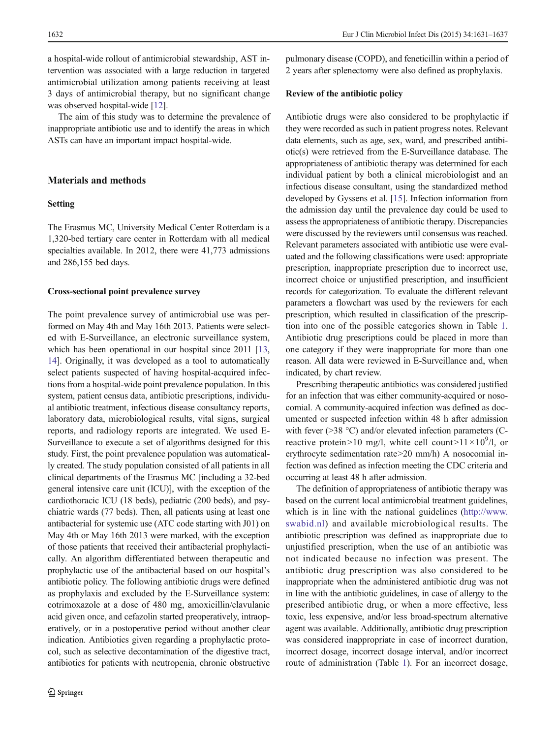a hospital-wide rollout of antimicrobial stewardship, AST intervention was associated with a large reduction in targeted antimicrobial utilization among patients receiving at least 3 days of antimicrobial therapy, but no significant change was observed hospital-wide [[12\]](#page-6-0).

The aim of this study was to determine the prevalence of inappropriate antibiotic use and to identify the areas in which ASTs can have an important impact hospital-wide.

# Materials and methods

## Setting

The Erasmus MC, University Medical Center Rotterdam is a 1,320-bed tertiary care center in Rotterdam with all medical specialties available. In 2012, there were 41,773 admissions and 286,155 bed days.

#### Cross-sectional point prevalence survey

The point prevalence survey of antimicrobial use was performed on May 4th and May 16th 2013. Patients were selected with E-Surveillance, an electronic surveillance system, which has been operational in our hospital since 2011 [[13,](#page-6-0) [14\]](#page-6-0). Originally, it was developed as a tool to automatically select patients suspected of having hospital-acquired infections from a hospital-wide point prevalence population. In this system, patient census data, antibiotic prescriptions, individual antibiotic treatment, infectious disease consultancy reports, laboratory data, microbiological results, vital signs, surgical reports, and radiology reports are integrated. We used E-Surveillance to execute a set of algorithms designed for this study. First, the point prevalence population was automatically created. The study population consisted of all patients in all clinical departments of the Erasmus MC [including a 32-bed general intensive care unit (ICU)], with the exception of the cardiothoracic ICU (18 beds), pediatric (200 beds), and psychiatric wards (77 beds). Then, all patients using at least one antibacterial for systemic use (ATC code starting with J01) on May 4th or May 16th 2013 were marked, with the exception of those patients that received their antibacterial prophylactically. An algorithm differentiated between therapeutic and prophylactic use of the antibacterial based on our hospital's antibiotic policy. The following antibiotic drugs were defined as prophylaxis and excluded by the E-Surveillance system: cotrimoxazole at a dose of 480 mg, amoxicillin/clavulanic acid given once, and cefazolin started preoperatively, intraoperatively, or in a postoperative period without another clear indication. Antibiotics given regarding a prophylactic protocol, such as selective decontamination of the digestive tract, antibiotics for patients with neutropenia, chronic obstructive pulmonary disease (COPD), and feneticillin within a period of 2 years after splenectomy were also defined as prophylaxis.

#### Review of the antibiotic policy

Antibiotic drugs were also considered to be prophylactic if they were recorded as such in patient progress notes. Relevant data elements, such as age, sex, ward, and prescribed antibiotic(s) were retrieved from the E-Surveillance database. The appropriateness of antibiotic therapy was determined for each individual patient by both a clinical microbiologist and an infectious disease consultant, using the standardized method developed by Gyssens et al. [[15](#page-6-0)]. Infection information from the admission day until the prevalence day could be used to assess the appropriateness of antibiotic therapy. Discrepancies were discussed by the reviewers until consensus was reached. Relevant parameters associated with antibiotic use were evaluated and the following classifications were used: appropriate prescription, inappropriate prescription due to incorrect use, incorrect choice or unjustified prescription, and insufficient records for categorization. To evaluate the different relevant parameters a flowchart was used by the reviewers for each prescription, which resulted in classification of the prescription into one of the possible categories shown in Table [1.](#page-2-0) Antibiotic drug prescriptions could be placed in more than one category if they were inappropriate for more than one reason. All data were reviewed in E-Surveillance and, when indicated, by chart review.

Prescribing therapeutic antibiotics was considered justified for an infection that was either community-acquired or nosocomial. A community-acquired infection was defined as documented or suspected infection within 48 h after admission with fever (>38 °C) and/or elevated infection parameters (Creactive protein>10 mg/l, white cell count>11 $\times$ 10<sup>9</sup>/l, or erythrocyte sedimentation rate>20 mm/h) A nosocomial infection was defined as infection meeting the CDC criteria and occurring at least 48 h after admission.

The definition of appropriateness of antibiotic therapy was based on the current local antimicrobial treatment guidelines, which is in line with the national guidelines ([http://www.](http://www.swabid.nl/) [swabid.nl](http://www.swabid.nl/)) and available microbiological results. The antibiotic prescription was defined as inappropriate due to unjustified prescription, when the use of an antibiotic was not indicated because no infection was present. The antibiotic drug prescription was also considered to be inappropriate when the administered antibiotic drug was not in line with the antibiotic guidelines, in case of allergy to the prescribed antibiotic drug, or when a more effective, less toxic, less expensive, and/or less broad-spectrum alternative agent was available. Additionally, antibiotic drug prescription was considered inappropriate in case of incorrect duration, incorrect dosage, incorrect dosage interval, and/or incorrect route of administration (Table [1\)](#page-2-0). For an incorrect dosage,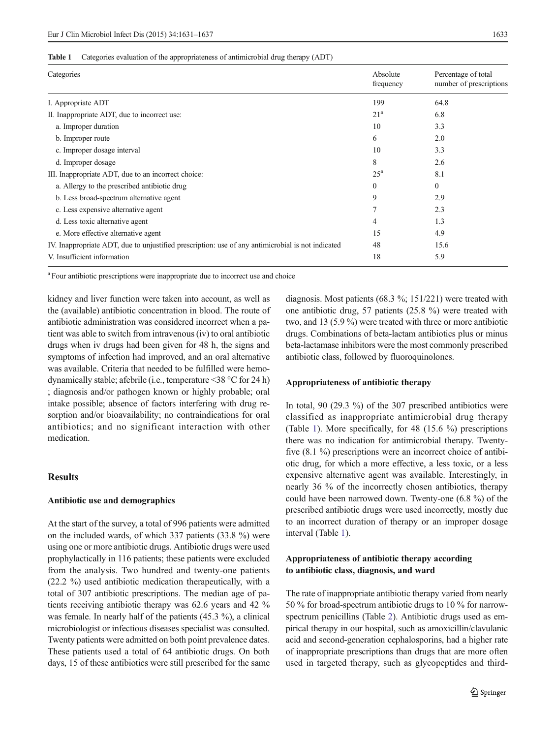#### <span id="page-2-0"></span>Table 1 Categories evaluation of the appropriateness of antimicrobial drug therapy (ADT)

| Categories                                                                                        | Absolute<br>frequency | Percentage of total<br>number of prescriptions |
|---------------------------------------------------------------------------------------------------|-----------------------|------------------------------------------------|
| I. Appropriate ADT                                                                                | 199                   | 64.8                                           |
| II. Inappropriate ADT, due to incorrect use:                                                      | 21 <sup>a</sup>       | 6.8                                            |
| a. Improper duration                                                                              | 10                    | 3.3                                            |
| b. Improper route                                                                                 | 6                     | 2.0                                            |
| c. Improper dosage interval                                                                       | 10                    | 3.3                                            |
| d. Improper dosage                                                                                | 8                     | 2.6                                            |
| III. Inappropriate ADT, due to an incorrect choice:                                               | $25^{\rm a}$          | 8.1                                            |
| a. Allergy to the prescribed antibiotic drug                                                      | 0                     | $\theta$                                       |
| b. Less broad-spectrum alternative agent                                                          | 9                     | 2.9                                            |
| c. Less expensive alternative agent                                                               |                       | 2.3                                            |
| d. Less toxic alternative agent                                                                   | 4                     | 1.3                                            |
| e. More effective alternative agent                                                               | 15                    | 4.9                                            |
| IV. Inappropriate ADT, due to unjustified prescription: use of any antimicrobial is not indicated | 48                    | 15.6                                           |
| V. Insufficient information                                                                       | 18                    | 5.9                                            |

<sup>a</sup> Four antibiotic prescriptions were inappropriate due to incorrect use and choice

kidney and liver function were taken into account, as well as the (available) antibiotic concentration in blood. The route of antibiotic administration was considered incorrect when a patient was able to switch from intravenous (iv) to oral antibiotic drugs when iv drugs had been given for 48 h, the signs and symptoms of infection had improved, and an oral alternative was available. Criteria that needed to be fulfilled were hemodynamically stable; afebrile (i.e., temperature <38 °C for 24 h) ; diagnosis and/or pathogen known or highly probable; oral intake possible; absence of factors interfering with drug resorption and/or bioavailability; no contraindications for oral antibiotics; and no significant interaction with other medication.

### Results

#### Antibiotic use and demographics

At the start of the survey, a total of 996 patients were admitted on the included wards, of which 337 patients (33.8 %) were using one or more antibiotic drugs. Antibiotic drugs were used prophylactically in 116 patients; these patients were excluded from the analysis. Two hundred and twenty-one patients (22.2 %) used antibiotic medication therapeutically, with a total of 307 antibiotic prescriptions. The median age of patients receiving antibiotic therapy was 62.6 years and 42 % was female. In nearly half of the patients (45.3 %), a clinical microbiologist or infectious diseases specialist was consulted. Twenty patients were admitted on both point prevalence dates. These patients used a total of 64 antibiotic drugs. On both days, 15 of these antibiotics were still prescribed for the same diagnosis. Most patients (68.3 %; 151/221) were treated with one antibiotic drug, 57 patients (25.8 %) were treated with two, and 13 (5.9 %) were treated with three or more antibiotic drugs. Combinations of beta-lactam antibiotics plus or minus beta-lactamase inhibitors were the most commonly prescribed antibiotic class, followed by fluoroquinolones.

#### Appropriateness of antibiotic therapy

In total, 90 (29.3 %) of the 307 prescribed antibiotics were classified as inappropriate antimicrobial drug therapy (Table 1). More specifically, for 48 (15.6 %) prescriptions there was no indication for antimicrobial therapy. Twentyfive (8.1 %) prescriptions were an incorrect choice of antibiotic drug, for which a more effective, a less toxic, or a less expensive alternative agent was available. Interestingly, in nearly 36 % of the incorrectly chosen antibiotics, therapy could have been narrowed down. Twenty-one (6.8 %) of the prescribed antibiotic drugs were used incorrectly, mostly due to an incorrect duration of therapy or an improper dosage interval (Table 1).

# Appropriateness of antibiotic therapy according to antibiotic class, diagnosis, and ward

The rate of inappropriate antibiotic therapy varied from nearly 50 % for broad-spectrum antibiotic drugs to 10 % for narrowspectrum penicillins (Table [2\)](#page-3-0). Antibiotic drugs used as empirical therapy in our hospital, such as amoxicillin/clavulanic acid and second-generation cephalosporins, had a higher rate of inappropriate prescriptions than drugs that are more often used in targeted therapy, such as glycopeptides and third-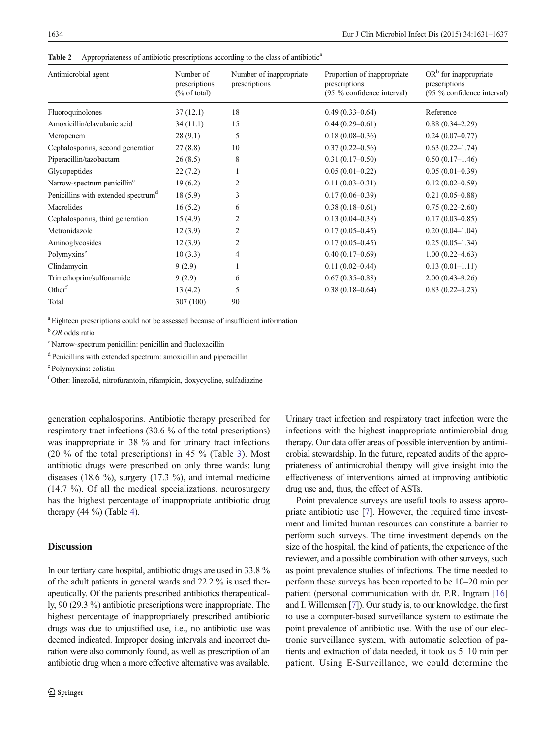<span id="page-3-0"></span>Table 2 Appropriateness of antibiotic prescriptions according to the class of antibiotic<sup>a</sup>

| Antimicrobial agent                             | Number of<br>prescriptions<br>$\frac{6}{6}$ of total) | Number of inappropriate<br>prescriptions | Proportion of inappropriate<br>prescriptions<br>(95 % confidence interval) | $ORb$ for inappropriate<br>prescriptions<br>(95 % confidence interval) |
|-------------------------------------------------|-------------------------------------------------------|------------------------------------------|----------------------------------------------------------------------------|------------------------------------------------------------------------|
| Fluoroquinolones                                | 37(12.1)                                              | 18                                       | $0.49(0.33 - 0.64)$                                                        | Reference                                                              |
| Amoxicillin/clavulanic acid                     | 34(11.1)                                              | 15                                       | $0.44(0.29 - 0.61)$                                                        | $0.88(0.34 - 2.29)$                                                    |
| Meropenem                                       | 28(9.1)                                               | 5                                        | $0.18(0.08 - 0.36)$                                                        | $0.24(0.07-0.77)$                                                      |
| Cephalosporins, second generation               | 27(8.8)                                               | 10                                       | $0.37(0.22 - 0.56)$                                                        | $0.63(0.22 - 1.74)$                                                    |
| Piperacillin/tazobactam                         | 26(8.5)                                               | 8                                        | $0.31(0.17-0.50)$                                                          | $0.50(0.17-1.46)$                                                      |
| Glycopeptides                                   | 22(7.2)                                               | 1                                        | $0.05(0.01-0.22)$                                                          | $0.05(0.01-0.39)$                                                      |
| Narrow-spectrum penicillin <sup>c</sup>         | 19(6.2)                                               | 2                                        | $0.11(0.03 - 0.31)$                                                        | $0.12(0.02-0.59)$                                                      |
| Penicillins with extended spectrum <sup>d</sup> | 18(5.9)                                               | 3                                        | $0.17(0.06 - 0.39)$                                                        | $0.21(0.05 - 0.88)$                                                    |
| Macrolides                                      | 16(5.2)                                               | 6                                        | $0.38(0.18-0.61)$                                                          | $0.75(0.22-2.60)$                                                      |
| Cephalosporins, third generation                | 15(4.9)                                               | 2                                        | $0.13(0.04 - 0.38)$                                                        | $0.17(0.03 - 0.85)$                                                    |
| Metronidazole                                   | 12(3.9)                                               | 2                                        | $0.17(0.05 - 0.45)$                                                        | $0.20(0.04-1.04)$                                                      |
| Aminoglycosides                                 | 12(3.9)                                               | 2                                        | $0.17(0.05 - 0.45)$                                                        | $0.25(0.05-1.34)$                                                      |
| Polymyxins <sup>e</sup>                         | 10(3.3)                                               | 4                                        | $0.40(0.17-0.69)$                                                          | $1.00(0.22 - 4.63)$                                                    |
| Clindamycin                                     | 9(2.9)                                                |                                          | $0.11(0.02 - 0.44)$                                                        | $0.13(0.01-1.11)$                                                      |
| Trimethoprim/sulfonamide                        | 9(2.9)                                                | 6                                        | $0.67(0.35-0.88)$                                                          | $2.00(0.43 - 9.26)$                                                    |
| Other <sup>f</sup>                              | 13(4.2)                                               | 5                                        | $0.38(0.18 - 0.64)$                                                        | $0.83(0.22 - 3.23)$                                                    |
| Total                                           | 307 (100)                                             | 90                                       |                                                                            |                                                                        |

<sup>a</sup> Eighteen prescriptions could not be assessed because of insufficient information

 $b$  OR odds ratio

c Narrow-spectrum penicillin: penicillin and flucloxacillin

<sup>d</sup> Penicillins with extended spectrum: amoxicillin and piperacillin

e Polymyxins: colistin

f Other: linezolid, nitrofurantoin, rifampicin, doxycycline, sulfadiazine

generation cephalosporins. Antibiotic therapy prescribed for respiratory tract infections (30.6 % of the total prescriptions) was inappropriate in 38 % and for urinary tract infections (20  $\%$  of the total prescriptions) in 45  $\%$  (Table [3](#page-4-0)). Most antibiotic drugs were prescribed on only three wards: lung diseases (18.6 %), surgery (17.3 %), and internal medicine (14.7 %). Of all the medical specializations, neurosurgery has the highest percentage of inappropriate antibiotic drug therapy  $(44 \%)$  $(44 \%)$  $(44 \%)$  (Table 4).

## Discussion

In our tertiary care hospital, antibiotic drugs are used in 33.8 % of the adult patients in general wards and 22.2 % is used therapeutically. Of the patients prescribed antibiotics therapeutically, 90 (29.3 %) antibiotic prescriptions were inappropriate. The highest percentage of inappropriately prescribed antibiotic drugs was due to unjustified use, i.e., no antibiotic use was deemed indicated. Improper dosing intervals and incorrect duration were also commonly found, as well as prescription of an antibiotic drug when a more effective alternative was available.

Urinary tract infection and respiratory tract infection were the infections with the highest inappropriate antimicrobial drug therapy. Our data offer areas of possible intervention by antimicrobial stewardship. In the future, repeated audits of the appropriateness of antimicrobial therapy will give insight into the effectiveness of interventions aimed at improving antibiotic drug use and, thus, the effect of ASTs.

Point prevalence surveys are useful tools to assess appropriate antibiotic use [\[7\]](#page-5-0). However, the required time investment and limited human resources can constitute a barrier to perform such surveys. The time investment depends on the size of the hospital, the kind of patients, the experience of the reviewer, and a possible combination with other surveys, such as point prevalence studies of infections. The time needed to perform these surveys has been reported to be 10–20 min per patient (personal communication with dr. P.R. Ingram [\[16](#page-6-0)] and I. Willemsen [[7\]](#page-5-0)). Our study is, to our knowledge, the first to use a computer-based surveillance system to estimate the point prevalence of antibiotic use. With the use of our electronic surveillance system, with automatic selection of patients and extraction of data needed, it took us 5–10 min per patient. Using E-Surveillance, we could determine the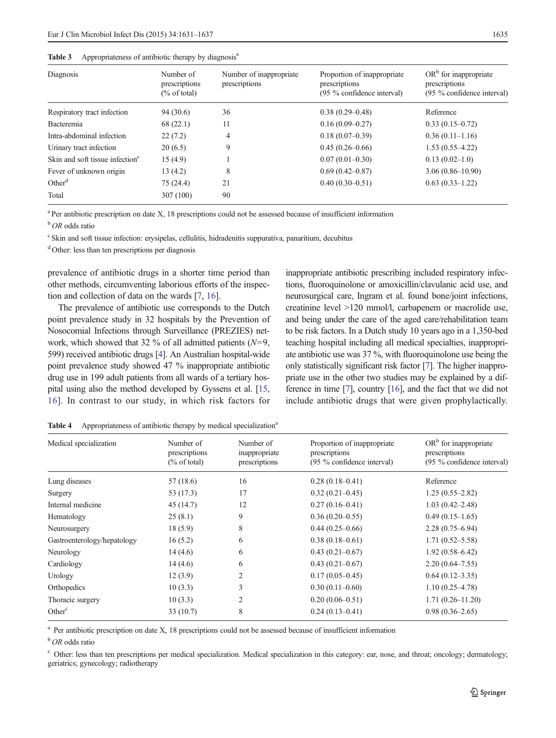<span id="page-4-0"></span>

| Table 3 | Appropriateness of antibiotic therapy by diagnosis <sup>a</sup> |  |  |
|---------|-----------------------------------------------------------------|--|--|
|---------|-----------------------------------------------------------------|--|--|

| Diagnosis                                   | Number of<br>prescriptions<br>$\frac{6}{6}$ of total) | Number of inappropriate<br>prescriptions | Proportion of inappropriate<br>prescriptions<br>$(95\%$ confidence interval) | $ORb$ for inappropriate<br>prescriptions<br>$(95\%$ confidence interval) |
|---------------------------------------------|-------------------------------------------------------|------------------------------------------|------------------------------------------------------------------------------|--------------------------------------------------------------------------|
| Respiratory tract infection                 | 94(30.6)                                              | 36                                       | $0.38(0.29 - 0.48)$                                                          | Reference                                                                |
| Bacteremia                                  | 68(22.1)                                              | 11                                       | $0.16(0.09 - 0.27)$                                                          | $0.33(0.15-0.72)$                                                        |
| Intra-abdominal infection                   | 22(7.2)                                               | 4                                        | $0.18(0.07-0.39)$                                                            | $0.36(0.11-1.16)$                                                        |
| Urinary tract infection                     | 20(6.5)                                               | 9                                        | $0.45(0.26 - 0.66)$                                                          | $1.53(0.55-4.22)$                                                        |
| Skin and soft tissue infection <sup>c</sup> | 15(4.9)                                               |                                          | $0.07(0.01 - 0.30)$                                                          | $0.13(0.02-1.0)$                                                         |
| Fever of unknown origin                     | 13 (4.2)                                              | 8                                        | $0.69(0.42 - 0.87)$                                                          | $3.06(0.86 - 10.90)$                                                     |
| Other <sup>d</sup>                          | 75(24.4)                                              | 21                                       | $0.40(0.30-0.51)$                                                            | $0.63(0.33-1.22)$                                                        |
| Total                                       | 307(100)                                              | 90                                       |                                                                              |                                                                          |

<sup>a</sup> Per antibiotic prescription on date X, 18 prescriptions could not be assessed because of insufficient information

<sup>b</sup> OR odds ratio

<sup>c</sup> Skin and soft tissue infection: erysipelas, cellulitis, hidradenitis suppurativa, panaritium, decubitus

<sup>d</sup> Other: less than ten prescriptions per diagnosis

prevalence of antibiotic drugs in a shorter time period than other methods, circumventing laborious efforts of the inspection and collection of data on the wards [\[7](#page-5-0), [16](#page-6-0)].

The prevalence of antibiotic use corresponds to the Dutch point prevalence study in 32 hospitals by the Prevention of Nosocomial Infections through Surveillance (PREZIES) network, which showed that 32 % of all admitted patients  $(N=9, 1)$ 599) received antibiotic drugs [\[4](#page-5-0)]. An Australian hospital-wide point prevalence study showed 47 % inappropriate antibiotic drug use in 199 adult patients from all wards of a tertiary hospital using also the method developed by Gyssens et al. [\[15,](#page-6-0) [16\]](#page-6-0). In contrast to our study, in which risk factors for inappropriate antibiotic prescribing included respiratory infections, fluoroquinolone or amoxicillin/clavulanic acid use, and neurosurgical care, Ingram et al. found bone/joint infections, creatinine level >120 mmol/l, carbapenem or macrolide use, and being under the care of the aged care/rehabilitation team to be risk factors. In a Dutch study 10 years ago in a 1,350-bed teaching hospital including all medical specialties, inappropriate antibiotic use was 37 %, with fluoroquinolone use being the only statistically significant risk factor [[7\]](#page-5-0). The higher inappropriate use in the other two studies may be explained by a difference in time [\[7\]](#page-5-0), country [[16](#page-6-0)], and the fact that we did not include antibiotic drugs that were given prophylactically.

| Medical specialization      | Number of<br>prescriptions<br>$\frac{6}{6}$ of total) | Number of<br>inappropriate<br>prescriptions | Proportion of inappropriate<br>prescriptions<br>(95 % confidence interval) | $ORb$ for inappropriate<br>prescriptions<br>$(95\%$ confidence interval) |
|-----------------------------|-------------------------------------------------------|---------------------------------------------|----------------------------------------------------------------------------|--------------------------------------------------------------------------|
| Lung diseases               | 57(18.6)                                              | 16                                          | $0.28(0.18-0.41)$                                                          | Reference                                                                |
| Surgery                     | 53 (17.3)                                             | 17                                          | $0.32(0.21 - 0.45)$                                                        | $1.25(0.55-2.82)$                                                        |
| Internal medicine           | 45(14.7)                                              | 12                                          | $0.27(0.16 - 0.41)$                                                        | $1.03(0.42 - 2.48)$                                                      |
| Hematology                  | 25(8.1)                                               | 9                                           | $0.36(0.20-0.55)$                                                          | $0.49(0.15-1.65)$                                                        |
| Neurosurgery                | 18(5.9)                                               | 8                                           | $0.44(0.25-0.66)$                                                          | $2.28(0.75 - 6.94)$                                                      |
| Gastroenterology/hepatology | 16(5.2)                                               | 6                                           | $0.38(0.18 - 0.61)$                                                        | $1.71(0.52 - 5.58)$                                                      |
| Neurology                   | 14(4.6)                                               | 6                                           | $0.43(0.21 - 0.67)$                                                        | $1.92(0.58 - 6.42)$                                                      |
| Cardiology                  | 14(4.6)                                               | 6                                           | $0.43(0.21 - 0.67)$                                                        | $2.20(0.64 - 7.55)$                                                      |
| Urology                     | 12(3.9)                                               | $\overline{2}$                              | $0.17(0.05 - 0.45)$                                                        | $0.64(0.12-3.35)$                                                        |
| Orthopedics                 | 10(3.3)                                               | 3                                           | $0.30(0.11-0.60)$                                                          | $1.10(0.25-4.78)$                                                        |
| Thoracic surgery            | 10(3.3)                                               | $\overline{2}$                              | $0.20(0.06 - 0.51)$                                                        | $1.71(0.26 - 11.20)$                                                     |
| Other <sup>c</sup>          | 33(10.7)                                              | 8                                           | $0.24(0.13-0.41)$                                                          | $0.98(0.36-2.65)$                                                        |

Table 4 Appropriateness of antibiotic therapy by medical specialization<sup>a</sup>

<sup>a</sup> Per antibiotic prescription on date X, 18 prescriptions could not be assessed because of insufficient information

 $b$  OR odds ratio

<sup>c</sup> Other: less than ten prescriptions per medical specialization. Medical specialization in this category: ear, nose, and throat; oncology; dermatology; geriatrics; gynecology; radiotherapy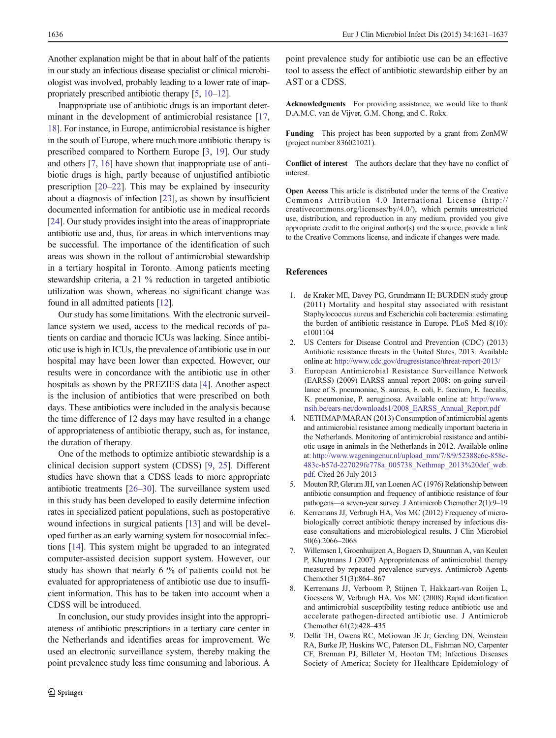<span id="page-5-0"></span>Another explanation might be that in about half of the patients in our study an infectious disease specialist or clinical microbiologist was involved, probably leading to a lower rate of inappropriately prescribed antibiotic therapy [5, [10](#page-6-0)–[12](#page-6-0)].

Inappropriate use of antibiotic drugs is an important determinant in the development of antimicrobial resistance [[17,](#page-6-0) [18\]](#page-6-0). For instance, in Europe, antimicrobial resistance is higher in the south of Europe, where much more antibiotic therapy is prescribed compared to Northern Europe [3, [19](#page-6-0)]. Our study and others [7, [16\]](#page-6-0) have shown that inappropriate use of antibiotic drugs is high, partly because of unjustified antibiotic prescription [[20](#page-6-0)–[22\]](#page-6-0). This may be explained by insecurity about a diagnosis of infection [\[23](#page-6-0)], as shown by insufficient documented information for antibiotic use in medical records [\[24\]](#page-6-0). Our study provides insight into the areas of inappropriate antibiotic use and, thus, for areas in which interventions may be successful. The importance of the identification of such areas was shown in the rollout of antimicrobial stewardship in a tertiary hospital in Toronto. Among patients meeting stewardship criteria, a 21 % reduction in targeted antibiotic utilization was shown, whereas no significant change was found in all admitted patients [[12\]](#page-6-0).

Our study has some limitations. With the electronic surveillance system we used, access to the medical records of patients on cardiac and thoracic ICUs was lacking. Since antibiotic use is high in ICUs, the prevalence of antibiotic use in our hospital may have been lower than expected. However, our results were in concordance with the antibiotic use in other hospitals as shown by the PREZIES data [4]. Another aspect is the inclusion of antibiotics that were prescribed on both days. These antibiotics were included in the analysis because the time difference of 12 days may have resulted in a change of appropriateness of antibiotic therapy, such as, for instance, the duration of therapy.

One of the methods to optimize antibiotic stewardship is a clinical decision support system (CDSS) [9, [25\]](#page-6-0). Different studies have shown that a CDSS leads to more appropriate antibiotic treatments [[26](#page-6-0)–[30](#page-6-0)]. The surveillance system used in this study has been developed to easily determine infection rates in specialized patient populations, such as postoperative wound infections in surgical patients [[13](#page-6-0)] and will be developed further as an early warning system for nosocomial infections [[14](#page-6-0)]. This system might be upgraded to an integrated computer-assisted decision support system. However, our study has shown that nearly 6 % of patients could not be evaluated for appropriateness of antibiotic use due to insufficient information. This has to be taken into account when a CDSS will be introduced.

In conclusion, our study provides insight into the appropriateness of antibiotic prescriptions in a tertiary care center in the Netherlands and identifies areas for improvement. We used an electronic surveillance system, thereby making the point prevalence study less time consuming and laborious. A

point prevalence study for antibiotic use can be an effective tool to assess the effect of antibiotic stewardship either by an AST or a CDSS.

Acknowledgments For providing assistance, we would like to thank D.A.M.C. van de Vijver, G.M. Chong, and C. Rokx.

Funding This project has been supported by a grant from ZonMW (project number 836021021).

Conflict of interest The authors declare that they have no conflict of interest.

Open Access This article is distributed under the terms of the Creative Commons Attribution 4.0 International License (http:// creativecommons.org/licenses/by/4.0/), which permits unrestricted use, distribution, and reproduction in any medium, provided you give appropriate credit to the original author(s) and the source, provide a link to the Creative Commons license, and indicate if changes were made.

#### References

- 1. de Kraker ME, Davey PG, Grundmann H; BURDEN study group (2011) Mortality and hospital stay associated with resistant Staphylococcus aureus and Escherichia coli bacteremia: estimating the burden of antibiotic resistance in Europe. PLoS Med 8(10): e1001104
- 2. US Centers for Disease Control and Prevention (CDC) (2013) Antibiotic resistance threats in the United States, 2013. Available online at: <http://www.cdc.gov/drugresistance/threat-report-2013/>
- 3. European Antimicrobial Resistance Surveillance Network (EARSS) (2009) EARSS annual report 2008: on-going surveillance of S. pneumoniae, S. aureus, E. coli, E. faecium, E. faecalis, K. pneumoniae, P. aeruginosa. Available online at: [http://www.](http://www.nsih.be/ears-net/downloads1/2008_EARSS_Annual_Report.pdf) [nsih.be/ears-net/downloads1/2008\\_EARSS\\_Annual\\_Report.pdf](http://www.nsih.be/ears-net/downloads1/2008_EARSS_Annual_Report.pdf)
- 4. NETHMAP/MARAN (2013) Consumption of antimicrobial agents and antimicrobial resistance among medically important bacteria in the Netherlands. Monitoring of antimicrobial resistance and antibiotic usage in animals in the Netherlands in 2012. Available online at: [http://www.wageningenur.nl/upload\\_mm/7/8/9/52388c6c-858c-](http://www.wageningenur.nl/upload_mm/7/8/9/52388c6c-858c-483c-b57d-227029fe778a_005738_Nethmap_2013%20def_web.pdf)[483c-b57d-227029fe778a\\_005738\\_Nethmap\\_2013%20def\\_web.](http://www.wageningenur.nl/upload_mm/7/8/9/52388c6c-858c-483c-b57d-227029fe778a_005738_Nethmap_2013%20def_web.pdf) [pdf](http://www.wageningenur.nl/upload_mm/7/8/9/52388c6c-858c-483c-b57d-227029fe778a_005738_Nethmap_2013%20def_web.pdf). Cited 26 July 2013
- 5. Mouton RP, Glerum JH, van Loenen AC (1976) Relationship between antibiotic consumption and frequency of antibiotic resistance of four pathogens—a seven-year survey. J Antimicrob Chemother 2(1):9–19
- 6. Kerremans JJ, Verbrugh HA, Vos MC (2012) Frequency of microbiologically correct antibiotic therapy increased by infectious disease consultations and microbiological results. J Clin Microbiol 50(6):2066–2068
- 7. Willemsen I, Groenhuijzen A, Bogaers D, Stuurman A, van Keulen P, Kluytmans J (2007) Appropriateness of antimicrobial therapy measured by repeated prevalence surveys. Antimicrob Agents Chemother 51(3):864–867
- 8. Kerremans JJ, Verboom P, Stijnen T, Hakkaart-van Roijen L, Goessens W, Verbrugh HA, Vos MC (2008) Rapid identification and antimicrobial susceptibility testing reduce antibiotic use and accelerate pathogen-directed antibiotic use. J Antimicrob Chemother 61(2):428–435
- 9. Dellit TH, Owens RC, McGowan JE Jr, Gerding DN, Weinstein RA, Burke JP, Huskins WC, Paterson DL, Fishman NO, Carpenter CF, Brennan PJ, Billeter M, Hooton TM; Infectious Diseases Society of America; Society for Healthcare Epidemiology of